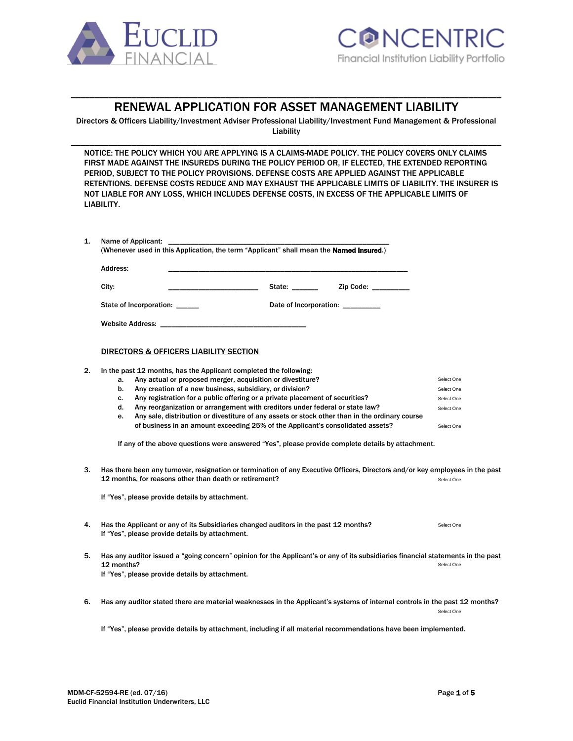



# \_\_\_\_\_\_\_\_\_\_\_\_\_\_\_\_\_\_\_\_\_\_\_\_\_\_\_\_\_\_\_\_\_\_\_\_\_\_\_\_\_\_\_\_\_\_\_\_\_\_\_\_\_\_\_\_\_\_\_\_\_\_\_\_\_\_\_\_\_\_\_\_\_\_\_\_\_\_\_\_\_\_\_\_\_\_\_\_\_\_\_\_ RENEWAL APPLICATION FOR ASSET MANAGEMENT LIABILITY

Directors & Officers Liability/Investment Adviser Professional Liability/Investment Fund Management & Professional Liability \_\_\_\_\_\_\_\_\_\_\_\_\_\_\_\_\_\_\_\_\_\_\_\_\_\_\_\_\_\_\_\_\_\_\_\_\_\_\_\_\_\_\_\_\_\_\_\_\_\_\_\_\_\_\_\_\_\_\_\_\_\_\_\_\_\_\_\_\_\_\_\_\_\_\_\_\_\_\_\_\_\_\_\_\_\_\_\_\_\_\_\_

NOTICE: THE POLICY WHICH YOU ARE APPLYING IS A CLAIMS-MADE POLICY. THE POLICY COVERS ONLY CLAIMS FIRST MADE AGAINST THE INSUREDS DURING THE POLICY PERIOD OR, IF ELECTED, THE EXTENDED REPORTING PERIOD, SUBJECT TO THE POLICY PROVISIONS. DEFENSE COSTS ARE APPLIED AGAINST THE APPLICABLE RETENTIONS. DEFENSE COSTS REDUCE AND MAY EXHAUST THE APPLICABLE LIMITS OF LIABILITY. THE INSURER IS NOT LIABLE FOR ANY LOSS, WHICH INCLUDES DEFENSE COSTS, IN EXCESS OF THE APPLICABLE LIMITS OF LIABILITY.

| 1. | Name of Applicant:<br>(Whenever used in this Application, the term "Applicant" shall mean the Named Insured.)                                                                                     |                                  |            |  |  |  |
|----|---------------------------------------------------------------------------------------------------------------------------------------------------------------------------------------------------|----------------------------------|------------|--|--|--|
|    | Address:                                                                                                                                                                                          |                                  |            |  |  |  |
|    | City:                                                                                                                                                                                             | State: _______<br>Zip Code:      |            |  |  |  |
|    | State of Incorporation: _____                                                                                                                                                                     | Date of Incorporation: _________ |            |  |  |  |
|    | <b>Website Address:</b>                                                                                                                                                                           |                                  |            |  |  |  |
|    | DIRECTORS & OFFICERS LIABILITY SECTION                                                                                                                                                            |                                  |            |  |  |  |
| 2. | In the past 12 months, has the Applicant completed the following:<br>Any actual or proposed merger, acquisition or divestiture?<br>a.                                                             |                                  | Select One |  |  |  |
|    | Any creation of a new business, subsidiary, or division?<br>b.                                                                                                                                    |                                  | Select One |  |  |  |
|    | Any registration for a public offering or a private placement of securities?<br>c.                                                                                                                |                                  | Select One |  |  |  |
|    | Any reorganization or arrangement with creditors under federal or state law?<br>d.                                                                                                                |                                  | Select One |  |  |  |
|    | Any sale, distribution or divestiture of any assets or stock other than in the ordinary course<br>e.                                                                                              |                                  |            |  |  |  |
|    | of business in an amount exceeding 25% of the Applicant's consolidated assets?                                                                                                                    |                                  | Select One |  |  |  |
|    | If any of the above questions were answered "Yes", please provide complete details by attachment.                                                                                                 |                                  |            |  |  |  |
| 3. | Has there been any turnover, resignation or termination of any Executive Officers, Directors and/or key employees in the past<br>12 months, for reasons other than death or retirement?           |                                  | Select One |  |  |  |
|    | If "Yes", please provide details by attachment.                                                                                                                                                   |                                  |            |  |  |  |
| 4. | Has the Applicant or any of its Subsidiaries changed auditors in the past 12 months?<br>If "Yes", please provide details by attachment.                                                           |                                  | Select One |  |  |  |
| 5. | Has any auditor issued a "going concern" opinion for the Applicant's or any of its subsidiaries financial statements in the past<br>12 months?<br>If "Yes", please provide details by attachment. |                                  | Select One |  |  |  |
| 6. | Has any auditor stated there are material weaknesses in the Applicant's systems of internal controls in the past 12 months?                                                                       |                                  | Select One |  |  |  |
|    | If "Yes", please provide details by attachment, including if all material recommendations have been implemented.                                                                                  |                                  |            |  |  |  |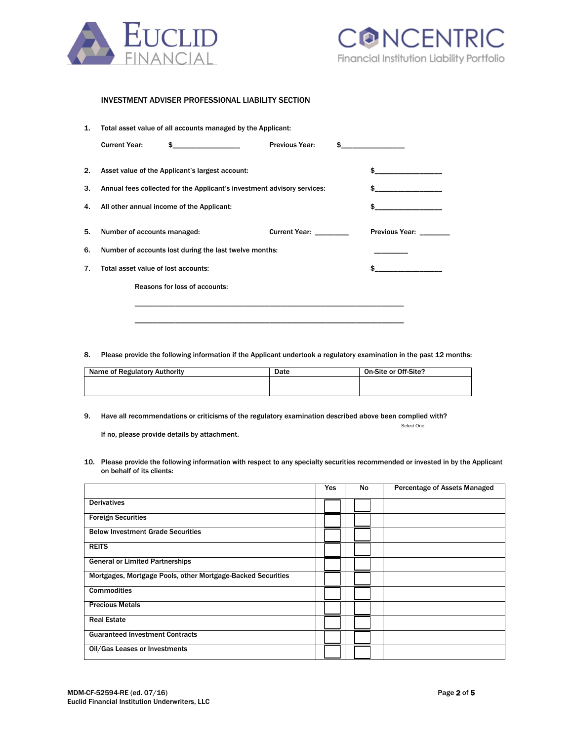



Select One

### INVESTMENT ADVISER PROFESSIONAL LIABILITY SECTION

| 1. | Total asset value of all accounts managed by the Applicant:             |                                                 |                                    |  |                       |
|----|-------------------------------------------------------------------------|-------------------------------------------------|------------------------------------|--|-----------------------|
|    | <b>Current Year:</b>                                                    | $\frac{1}{2}$                                   | <b>Previous Year:</b>              |  | $\sim$ $\sim$         |
| 2. |                                                                         | Asset value of the Applicant's largest account: |                                    |  |                       |
| 3. | Annual fees collected for the Applicant's investment advisory services: |                                                 |                                    |  | \$                    |
| 4. | All other annual income of the Applicant:                               |                                                 |                                    |  |                       |
|    |                                                                         |                                                 |                                    |  |                       |
| 5. | Number of accounts managed:                                             |                                                 | <b>Current Year:</b> Current Year: |  | <b>Previous Year:</b> |
| 6. | Number of accounts lost during the last twelve months:                  |                                                 |                                    |  |                       |
| 7. | Total asset value of lost accounts:                                     |                                                 |                                    |  |                       |
|    |                                                                         | Reasons for loss of accounts:                   |                                    |  |                       |
|    |                                                                         |                                                 |                                    |  |                       |

8. Please provide the following information if the Applicant undertook a regulatory examination in the past 12 months:

\_\_\_\_\_\_\_\_\_\_\_\_\_\_\_\_\_\_\_\_\_\_\_\_\_\_\_\_\_\_\_\_\_\_\_\_\_\_\_\_\_\_\_\_\_\_\_\_\_\_\_\_\_\_\_\_\_\_\_\_\_\_\_\_\_\_\_\_\_\_\_\_

| Name of Regulatory Authority | Date | On-Site or Off-Site? |
|------------------------------|------|----------------------|
|                              |      |                      |
|                              |      |                      |

9. Have all recommendations or criticisms of the regulatory examination described above been complied with?

If no, please provide details by attachment.

10. Please provide the following information with respect to any specialty securities recommended or invested in by the Applicant on behalf of its clients:

|                                                             | Yes | No | <b>Percentage of Assets Managed</b> |
|-------------------------------------------------------------|-----|----|-------------------------------------|
| <b>Derivatives</b>                                          |     |    |                                     |
| <b>Foreign Securities</b>                                   |     |    |                                     |
| <b>Below Investment Grade Securities</b>                    |     |    |                                     |
| <b>REITS</b>                                                |     |    |                                     |
| <b>General or Limited Partnerships</b>                      |     |    |                                     |
| Mortgages, Mortgage Pools, other Mortgage-Backed Securities |     |    |                                     |
| <b>Commodities</b>                                          |     |    |                                     |
| <b>Precious Metals</b>                                      |     |    |                                     |
| <b>Real Estate</b>                                          |     |    |                                     |
| <b>Guaranteed Investment Contracts</b>                      |     |    |                                     |
| Oil/Gas Leases or Investments                               |     |    |                                     |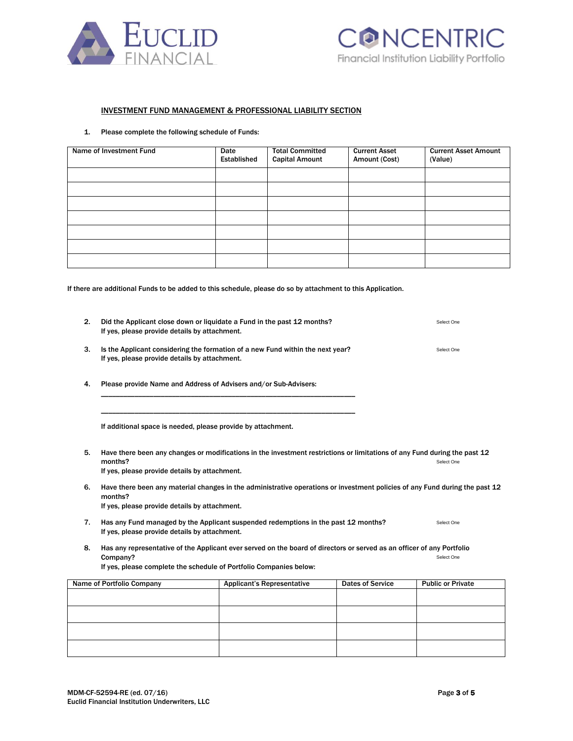



### INVESTMENT FUND MANAGEMENT & PROFESSIONAL LIABILITY SECTION

1. Please complete the following schedule of Funds:

| Name of Investment Fund | Date<br>Established | <b>Total Committed</b><br><b>Capital Amount</b> | <b>Current Asset</b><br>Amount (Cost) | <b>Current Asset Amount</b><br>(Value) |
|-------------------------|---------------------|-------------------------------------------------|---------------------------------------|----------------------------------------|
|                         |                     |                                                 |                                       |                                        |
|                         |                     |                                                 |                                       |                                        |
|                         |                     |                                                 |                                       |                                        |
|                         |                     |                                                 |                                       |                                        |
|                         |                     |                                                 |                                       |                                        |
|                         |                     |                                                 |                                       |                                        |
|                         |                     |                                                 |                                       |                                        |

If there are additional Funds to be added to this schedule, please do so by attachment to this Application.

| 2.                        | Did the Applicant close down or liquidate a Fund in the past 12 months?<br>If yes, please provide details by attachment.                                                                                               | Select One                        |                         |                          |  |  |
|---------------------------|------------------------------------------------------------------------------------------------------------------------------------------------------------------------------------------------------------------------|-----------------------------------|-------------------------|--------------------------|--|--|
| 3.                        | Is the Applicant considering the formation of a new Fund within the next year?<br>Select One<br>If yes, please provide details by attachment.                                                                          |                                   |                         |                          |  |  |
| 4.                        | Please provide Name and Address of Advisers and/or Sub-Advisers:                                                                                                                                                       |                                   |                         |                          |  |  |
|                           | If additional space is needed, please provide by attachment.                                                                                                                                                           |                                   |                         |                          |  |  |
| 5.                        | Have there been any changes or modifications in the investment restrictions or limitations of any Fund during the past 12<br>months?<br>Select One<br>If yes, please provide details by attachment.                    |                                   |                         |                          |  |  |
| 6.                        | Have there been any material changes in the administrative operations or investment policies of any Fund during the past 12<br>months?<br>If yes, please provide details by attachment.                                |                                   |                         |                          |  |  |
| 7.                        | Has any Fund managed by the Applicant suspended redemptions in the past 12 months?<br>Select One<br>If yes, please provide details by attachment.                                                                      |                                   |                         |                          |  |  |
| 8.                        | Has any representative of the Applicant ever served on the board of directors or served as an officer of any Portfolio<br>Company?<br>Select One<br>If yes, please complete the schedule of Portfolio Companies below: |                                   |                         |                          |  |  |
| Name of Portfolio Company |                                                                                                                                                                                                                        | <b>Applicant's Representative</b> | <b>Dates of Service</b> | <b>Public or Private</b> |  |  |
|                           |                                                                                                                                                                                                                        |                                   |                         |                          |  |  |
|                           |                                                                                                                                                                                                                        |                                   |                         |                          |  |  |
|                           |                                                                                                                                                                                                                        |                                   |                         |                          |  |  |
|                           |                                                                                                                                                                                                                        |                                   |                         |                          |  |  |
|                           |                                                                                                                                                                                                                        |                                   |                         |                          |  |  |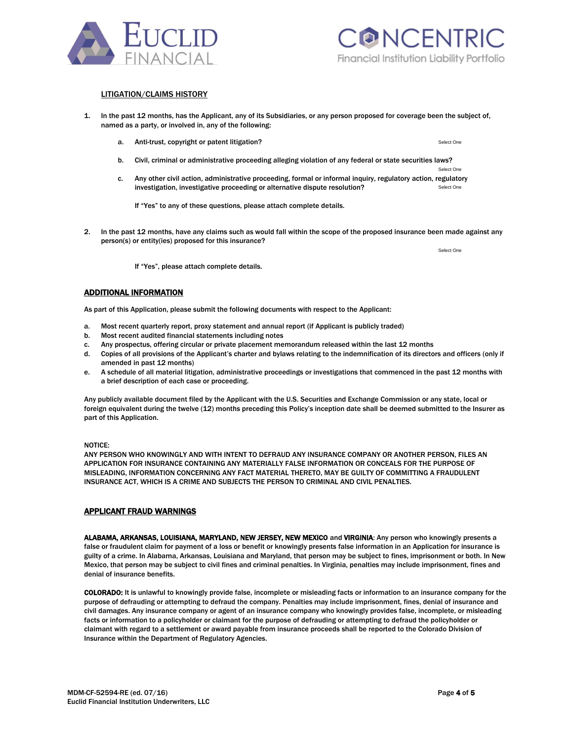

APPLICANT FRAUD WARNINGS

ALABAMA, ARKANSAS, LOUISIANA, MARYLAND, NEW JERSEY, NEW MEXICO and VIRGINIA: Any person who knowingly presents a false or fraudulent claim for payment of a loss or benefit or knowingly presents false information in an Application for insurance is guilty of a crime. In Alabama, Arkansas, Louisiana and Maryland, that person may be subject to fines, imprisonment or both. In New Mexico, that person may be subject to civil fines and criminal penalties. In Virginia, penalties may include imprisonment, fines and denial of insurance benefits.

COLORADO: It is unlawful to knowingly provide false, incomplete or misleading facts or information to an insurance company for the purpose of defrauding or attempting to defraud the company. Penalties may include imprisonment, fines, denial of insurance and civil damages. Any insurance company or agent of an insurance company who knowingly provides false, incomplete, or misleading facts or information to a policyholder or claimant for the purpose of defrauding or attempting to defraud the policyholder or claimant with regard to a settlement or award payable from insurance proceeds shall be reported to the Colorado Division of Insurance within the Department of Regulatory Agencies.

1. In the past 12 months, has the Applicant, any of its Subsidiaries, or any person proposed for coverage been the subject of, named as a party, or involved in, any of the following:

- a. Anti-trust, copyright or patent litigation?
- b. Civil, criminal or administrative proceeding alleging violation of any federal or state securities laws?
- Select One c. Any other civil action, administrative proceeding, formal or informal inquiry, regulatory action, regulatory investigation, investigative proceeding or alternative dispute resolution? Select One

If "Yes" to any of these questions, please attach complete details.

2. In the past 12 months, have any claims such as would fall within the scope of the proposed insurance been made against any person(s) or entity(ies) proposed for this insurance?

If "Yes", please attach complete details.

## ADDITIONAL INFORMATION

As part of this Application, please submit the following documents with respect to the Applicant:

- a. Most recent quarterly report, proxy statement and annual report (if Applicant is publicly traded)
- b. Most recent audited financial statements including notes
- c. Any prospectus, offering circular or private placement memorandum released within the last 12 months
- d. Copies of all provisions of the Applicant's charter and bylaws relating to the indemnification of its directors and officers (only if amended in past 12 months)
- e. A schedule of all material litigation, administrative proceedings or investigations that commenced in the past 12 months with a brief description of each case or proceeding.

Any publicly available document filed by the Applicant with the U.S. Securities and Exchange Commission or any state, local or foreign equivalent during the twelve (12) months preceding this Policy's inception date shall be deemed submitted to the Insurer as part of this Application.

#### NOTICE:

ANY PERSON WHO KNOWINGLY AND WITH INTENT TO DEFRAUD ANY INSURANCE COMPANY OR ANOTHER PERSON, FILES AN APPLICATION FOR INSURANCE CONTAINING ANY MATERIALLY FALSE INFORMATION OR CONCEALS FOR THE PURPOSE OF MISLEADING, INFORMATION CONCERNING ANY FACT MATERIAL THERETO, MAY BE GUILTY OF COMMITTING A FRAUDULENT INSURANCE ACT, WHICH IS A CRIME AND SUBJECTS THE PERSON TO CRIMINAL AND CIVIL PENALTIES.

#### MDM-CF-52594-RE (ed. 07/16) **Page 4 of 5** Euclid Financial Institution Underwriters, LLC



LITIGATION/CLAIMS HISTORY

Select One

Select One